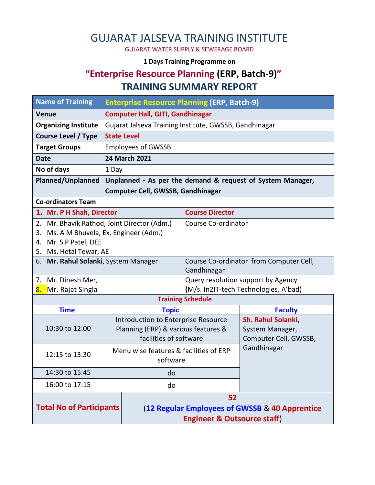# GUJARAT JALSEVA TRAINING INSTITUTE

GUJARAT WATER SUPPLY & SEWERAGE BOARD

#### **1 Days Training Programme on**

### **"Enterprise Resource Planning (ERP, Batch-9)" TRAINING SUMMARY REPORT**

| <b>Name of Training</b><br><b>Enterprise Resource Planning (ERP, Batch-9)</b> |                                                               |                                                            |                                         |                                          |  |  |
|-------------------------------------------------------------------------------|---------------------------------------------------------------|------------------------------------------------------------|-----------------------------------------|------------------------------------------|--|--|
| <b>Venue</b>                                                                  | <b>Computer Hall, GJTI, Gandhinagar</b>                       |                                                            |                                         |                                          |  |  |
| <b>Organizing Institute</b>                                                   |                                                               | Gujarat Jalseva Training Institute, GWSSB, Gandhinagar     |                                         |                                          |  |  |
| <b>Course Level / Type</b>                                                    |                                                               |                                                            |                                         |                                          |  |  |
| <b>Target Groups</b>                                                          | <b>Employees of GWSSB</b>                                     |                                                            |                                         |                                          |  |  |
| <b>Date</b>                                                                   | <b>24 March 2021</b>                                          |                                                            |                                         |                                          |  |  |
| No of days<br>1 Day                                                           |                                                               |                                                            |                                         |                                          |  |  |
| <b>Planned/Unplanned</b>                                                      |                                                               | Unplanned - As per the demand & request of System Manager, |                                         |                                          |  |  |
|                                                                               | <b>Computer Cell, GWSSB, Gandhinagar</b>                      |                                                            |                                         |                                          |  |  |
| <b>Co-ordinators Team</b>                                                     |                                                               |                                                            |                                         |                                          |  |  |
| 1. Mr. P H Shah, Director                                                     |                                                               |                                                            | <b>Course Director</b>                  |                                          |  |  |
| 2. Mr. Bhavik Rathod, Joint Director (Adm.)                                   |                                                               | Course Co-ordinator                                        |                                         |                                          |  |  |
| Ms. A M Bhuvela, Ex. Engineer (Adm.)<br>3.                                    |                                                               |                                                            |                                         |                                          |  |  |
| 4. Mr. S P Patel, DEE                                                         |                                                               |                                                            |                                         |                                          |  |  |
| 5. Ms. Hetal Tewar, AE<br>6. Mr. Rahul Solanki, System Manager                |                                                               |                                                            | Course Co-ordinator from Computer Cell, |                                          |  |  |
|                                                                               |                                                               | Gandhinagar                                                |                                         |                                          |  |  |
| 7. Mr. Dinesh Mer,                                                            |                                                               | Query resolution support by Agency                         |                                         |                                          |  |  |
| 8.<br>Mr. Rajat Singla                                                        |                                                               |                                                            | (M/s. In2IT-tech Technologies, A'bad)   |                                          |  |  |
| <b>Training Schedule</b>                                                      |                                                               |                                                            |                                         |                                          |  |  |
| <b>Time</b>                                                                   |                                                               | <b>Topic</b>                                               |                                         | <b>Faculty</b>                           |  |  |
| 10:30 to 12:00                                                                |                                                               |                                                            | Introduction to Enterprise Resource     | <b>Sh. Rahul Solanki,</b>                |  |  |
|                                                                               | Planning (ERP) & various features &<br>facilities of software |                                                            |                                         | System Manager,<br>Computer Cell, GWSSB, |  |  |
|                                                                               |                                                               |                                                            |                                         | Gandhinagar                              |  |  |
| 12:15 to 13:30                                                                |                                                               | Menu wise features & facilities of ERP<br>software         |                                         |                                          |  |  |
| 14:30 to 15:45                                                                |                                                               |                                                            |                                         |                                          |  |  |
|                                                                               | do                                                            |                                                            |                                         |                                          |  |  |
| 16:00 to 17:15                                                                |                                                               | do                                                         |                                         |                                          |  |  |
|                                                                               |                                                               | 52                                                         |                                         |                                          |  |  |
| <b>Total No of Participants</b>                                               |                                                               | (12 Regular Employees of GWSSB & 40 Apprentice             |                                         |                                          |  |  |
|                                                                               |                                                               | <b>Engineer &amp; Outsource staff)</b>                     |                                         |                                          |  |  |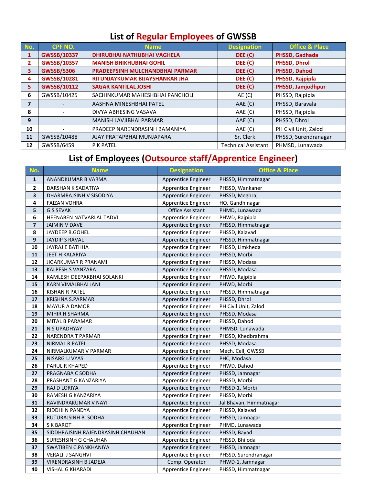# **List of Regular Employees of GWSSB**

| No.          | <b>CPF NO.</b>     | <b>Name</b>                            | <b>Designation</b>         | <b>Office &amp; Place</b> |
|--------------|--------------------|----------------------------------------|----------------------------|---------------------------|
| $\mathbf{1}$ | GWSSB/10337        | <b>DHIRUBHAI NATHUBHAI VAGHELA</b>     | DEE (C)                    | PHSSD, Gadhada            |
| 2            | <b>GWSSB/10357</b> | <b>MANISH BHIKHUBHAI GOHIL</b>         | DEE (C)                    | <b>PHSSD, Dhrol</b>       |
| 3            | <b>GWSSB/5306</b>  | <b>PRADEEPSINH MULCHANDBHAI PARMAR</b> | DEE (C)                    | PHSSD, Dahod              |
| 4            | GWSSB/10281        | RITUNJAYKUMAR BIJAYSHANKAR JHA         | DEE (C)                    | PHSSD, Rajpipla           |
| 5            | <b>GWSSB/10112</b> | <b>SAGAR KANTILAL JOSHI</b>            | DEE (C)                    | PHSSD, Jamjodhpur         |
| 6            | GWSSB/10425        | SACHINKUMAR MAHESHBHAI PANCHOLI        | AE (C)                     | PHSSD, Rajpipla           |
| 7            |                    | AASHNA MINESHBHAI PATEL                | AAE (C)                    | PHSSD, Baravala           |
| 8            |                    | DIVYA ABHESING VASAVA                  | AAE (C)                    | PHSSD, Rajpipla           |
| 9            |                    | <b>MANISH LAVJIBHAI PARMAR</b>         | AAE (C)                    | PHSSD, Dhrol              |
| 10           |                    | PRADEEP NARENDRASINH BAMANIYA          | AAE (C)                    | PH Civil Unit, Zalod      |
| 11           | GWSSB/10488        | AJAY PRATAPBHAI MUNJAPARA              | Sr. Clerk                  | PHSSD, Surendranagar      |
| 12           | GWSSB/6459         | <b>P K PATEL</b>                       | <b>Technical Assistant</b> | PHMSD, Lunawada           |

# **List of Employees (Outsource staff/Apprentice Engineer)**

| No.                     | <b>Name</b>                       | <b>Designation</b>         | <b>Office &amp; Place</b> |
|-------------------------|-----------------------------------|----------------------------|---------------------------|
| $\mathbf{1}$            | ANANDKUMAR B VARMA                | Apprentice Engineer        | PHSSD, Himmatnagar        |
| $\overline{\mathbf{2}}$ | DARSHAN K SADATIYA                | Apprentice Engineer        | PHSSD, Wankaner           |
| 3                       | DHARMRAJSINH V SISODIYA           | Apprentice Engineer        | PHSSD, Meghraj            |
| $\overline{4}$          | <b>FAIZAN VOHRA</b>               | Apprentice Engineer        | HO, Gandhinagar           |
| 5                       | <b>G S SEVAK</b>                  | <b>Office Assistant</b>    | PHMD, Lunawada            |
| 6                       | HEENABEN NATVARLAL TADVI          | Apprentice Engineer        | PHWD, Rajpipla            |
| $\overline{\mathbf{z}}$ | <b>JAIMIN V DAVE</b>              | Apprentice Engineer        | PHSSD, Himmatnagar        |
| 8                       | JAYDEEP B.GOHEL                   | Apprentice Engineer        | PHSSD, Kalavad            |
| $\overline{9}$          | <b>JAYDIP S RAVAL</b>             | Apprentice Engineer        | PHSSD, Himmatnagar        |
| 10                      | JAYRAJ E BATHHA                   | Apprentice Engineer        | PHSSD, Limkheda           |
| 11                      | JEET H KALARIYA                   | Apprentice Engineer        | PHSSD, Morbi              |
| 12                      | JIGARKUMAR R PRANAMI              | Apprentice Engineer        | PHSSD, Modasa             |
| 13                      | <b>KALPESH S VANZARA</b>          | Apprentice Engineer        | PHSSD, Modasa             |
| 14                      | KAMLESH DEEPAKBHAI SOLANKI        | Apprentice Engineer        | PHWD, Rajpipla            |
| 15                      | KARN VIMALBHAI JANI               | <b>Apprentice Engineer</b> | PHWD, Morbi               |
| 16                      | <b>KISHAN R PATEL</b>             | Apprentice Engineer        | PHSSD, Himmatnagar        |
| 17                      | <b>KRISHNA S.PARMAR</b>           | Apprentice Engineer        | PHSSD, Dhrol              |
| 18                      | <b>MAYUR A DAMOR</b>              | Apprentice Engineer        | PH Civil Unit, Zalod      |
| 19                      | MIHIR H SHARMA                    | Apprentice Engineer        | PHSSD, Modasa             |
| 20                      | MITAL B PARAMAR                   | Apprentice Engineer        | PHSSD, Dahod              |
| 21                      | N S UPADHYAY                      | Apprentice Engineer        | PHMSD, Lunawada           |
| 22                      | NARENDRA T PARMAR                 | Apprentice Engineer        | PHSSD, Khedbrahma         |
| 23                      | NIRMAL R PATEL                    | Apprentice Engineer        | PHSSD, Modasa             |
| 24                      | NIRMALKUMAR V PARMAR              | Apprentice Engineer        | Mech. Cell, GWSSB         |
| 25                      | NISARG U VYAS                     | Apprentice Engineer        | PHC, Modasa               |
| 26                      | PARUL R KHAPED                    | Apprentice Engineer        | PHWD, Dahod               |
| 27                      | PRAGNABA C SODHA                  | Apprentice Engineer        | PHSSD, Jamnagar           |
| 28                      | PRASHANT G KANZARIYA              | Apprentice Engineer        | PHSSD, Morbi              |
| 29                      | RAJ D LORIYA                      | Apprentice Engineer        | PHSSD-1, Morbi            |
| 30                      | RAMESH G KANZARIYA                | Apprentice Engineer        | PHSSD, Morbi              |
| 31                      | RAVINDRAKUMAR V NAYI              | Apprentice Engineer        | Jal Bhavan, Himmatnagar   |
| 32                      | RIDDHI N PANDYA                   | Apprentice Engineer        | PHSSD, Kalavad            |
| 33                      | RUTURAJSINH B. SODHA              | Apprentice Engineer        | PHSSD, Jamnagar           |
| 34                      | S K BAROT                         | Apprentice Engineer        | PHMD, Lunawada            |
| 35                      | SIDDHRAJSINH RAJENDRASINH CHAUHAN | Apprentice Engineer        | PHSSD, Bayad              |
| 36                      | SURESHSINH G CHAUHAN              | Apprentice Engineer        | PHSSD, Bhiloda            |
| 37                      | SWATIBEN C.PANKHANIYA             | Apprentice Engineer        | PHSSD, Jamnagar           |
| 38                      | <b>VERALI J SANGHVI</b>           | Apprentice Engineer        | PHSSD, Surendranagar      |
| 39                      | VIRENDRASINH B JADEJA             | Comp. Operator             | PHWD-1, Jamnagar          |
| 40                      | <b>VISHAL G KHARADI</b>           | Apprentice Engineer        | PHSSD, Himmatnagar        |